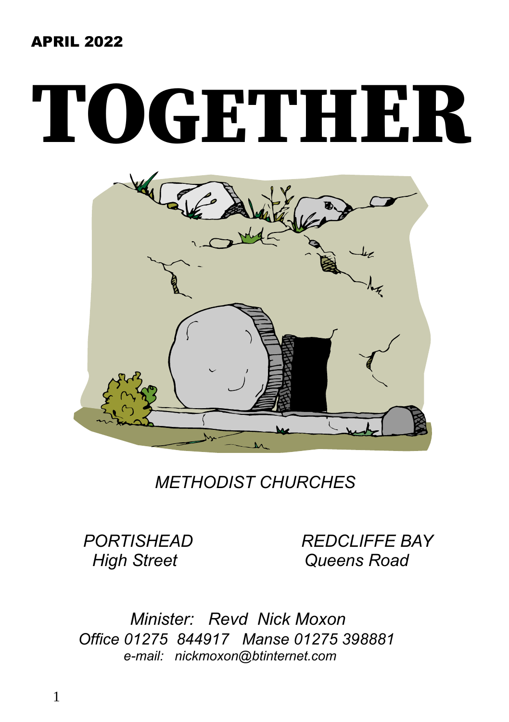#### APRIL 2022

# TOGETHER



 *METHODIST CHURCHES*

 *PORTISHEAD REDCLIFFE BAY High Street Queens Road*

 *Minister: Revd Nick Moxon Office 01275 844917 Manse 01275 398881 e-mail: nickmoxon@btinternet.com*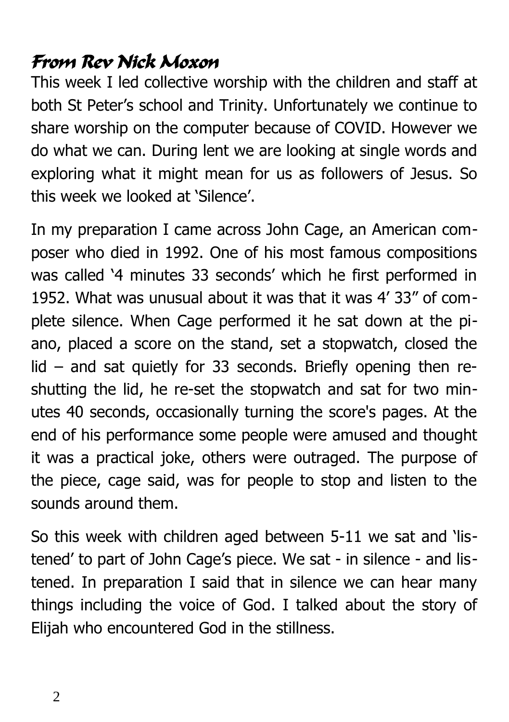# From Rev Nick Moxon

This week I led collective worship with the children and staff at both St Peter's school and Trinity. Unfortunately we continue to share worship on the computer because of COVID. However we do what we can. During lent we are looking at single words and exploring what it might mean for us as followers of Jesus. So this week we looked at 'Silence'.

In my preparation I came across John Cage, an American composer who died in 1992. One of his most famous compositions was called '4 minutes 33 seconds' which he first performed in 1952. What was unusual about it was that it was 4' 33" of complete silence. When Cage performed it he sat down at the piano, placed a score on the stand, set a stopwatch, closed the lid – and sat quietly for 33 seconds. Briefly opening then reshutting the lid, he re-set the stopwatch and sat for two minutes 40 seconds, occasionally turning the score's pages. At the end of his performance some people were amused and thought it was a practical joke, others were outraged. The purpose of the piece, cage said, was for people to stop and listen to the sounds around them.

So this week with children aged between 5-11 we sat and 'listened' to part of John Cage's piece. We sat - in silence - and listened. In preparation I said that in silence we can hear many things including the voice of God. I talked about the story of Elijah who encountered God in the stillness.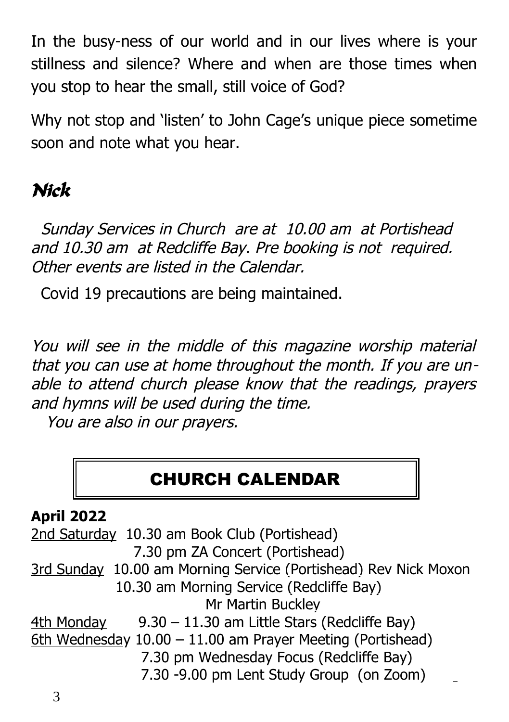In the busy-ness of our world and in our lives where is your stillness and silence? Where and when are those times when you stop to hear the small, still voice of God?

Why not stop and 'listen' to John Cage's unique piece sometime soon and note what you hear.

# Nick

 Sunday Services in Church are at 10.00 am at Portishead and 10.30 am at Redcliffe Bay. Pre booking is not required. Other events are listed in the Calendar.

Covid 19 precautions are being maintained.

You will see in the middle of this magazine worship material that you can use at home throughout the month. If you are unable to attend church please know that the readings, prayers and hymns will be used during the time.

You are also in our prayers.

# CHURCH CALENDAR

# **April 2022**

2nd Saturday 10.30 am Book Club (Portishead) 7.30 pm ZA Concert (Portishead) 3rd Sunday 10.00 am Morning Service (Portishead) Rev Nick Moxon 10.30 am Morning Service (Redcliffe Bay) Mr Martin Buckley 4th Monday 9.30 – 11.30 am Little Stars (Redcliffe Bay) 6 th Wednesday 10.00 – 11.00 am Prayer Meeting (Portishead) 7.30 pm Wednesday Focus (Redcliffe Bay) 7.30 -9.00 pm Lent Study Group (on Zoom)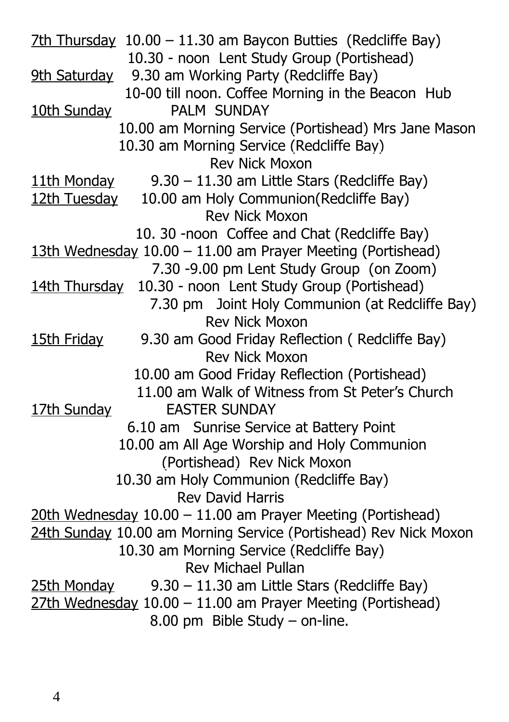7th Thursday 10.00 – 11.30 am Baycon Butties (Redcliffe Bay) 10.30 - noon Lent Study Group (Portishead) 9th Saturday 9.30 am Working Party (Redcliffe Bay) 10-00 till noon. Coffee Morning in the Beacon Hub 10th Sunday PALM SUNDAY 10.00 am Morning Service (Portishead) Mrs Jane Mason 10.30 am Morning Service (Redcliffe Bay) Rev Nick Moxon 11th Monday 9.30 – 11.30 am Little Stars (Redcliffe Bay) 12th Tuesday 10.00 am Holy Communion(Redcliffe Bay) Rev Nick Moxon 10. 30 -noon Coffee and Chat (Redcliffe Bay) 13th Wednesday 10.00 – 11.00 am Prayer Meeting (Portishead) 7.30 -9.00 pm Lent Study Group (on Zoom) 14th Thursday 10.30 - noon Lent Study Group (Portishead) 7.30 pm Joint Holy Communion (at Redcliffe Bay) Rev Nick Moxon 15th Friday 9.30 am Good Friday Reflection ( Redcliffe Bay) Rev Nick Moxon 10.00 am Good Friday Reflection (Portishead) 11.00 am Walk of Witness from St Peter's Church 17th Sunday **EASTER SUNDAY**  6.10 am Sunrise Service at Battery Point 10.00 am All Age Worship and Holy Communion (Portishead) Rev Nick Moxon 10.30 am Holy Communion (Redcliffe Bay) Rev David Harris 20th Wednesday 10.00 – 11.00 am Prayer Meeting (Portishead) 24th Sunday 10.00 am Morning Service (Portishead) Rev Nick Moxon 10.30 am Morning Service (Redcliffe Bay) Rev Michael Pullan 25th Monday 9.30 – 11.30 am Little Stars (Redcliffe Bay) 27th Wednesday 10.00 – 11.00 am Prayer Meeting (Portishead) 8.00 pm Bible Study – on-line.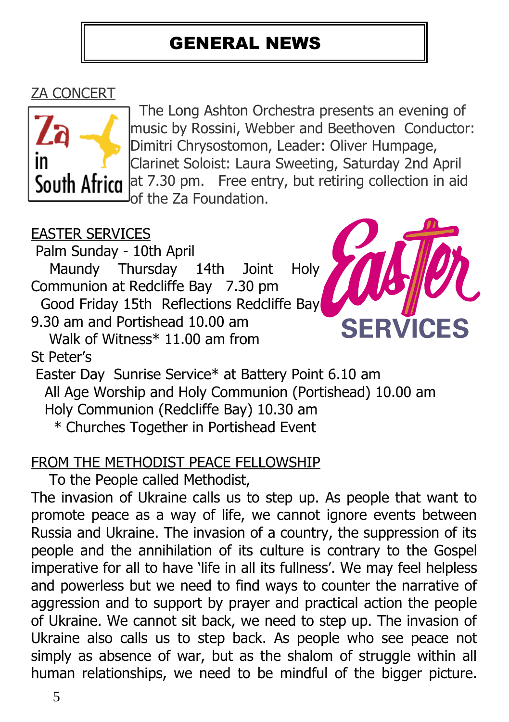# GENERAL NEWS

# ZA CONCERT



 The Long Ashton Orchestra presents an evening of music by Rossini, Webber and Beethoven Conductor: Dimitri Chrysostomon, Leader: Oliver Humpage, Clarinet Soloist: Laura Sweeting, Saturday 2nd April South Africa at 7.30 pm. Free entry, but retiring collection in aid of the Za Foundation.

# EASTER SERVICES

Palm Sunday - 10th April

 Maundy Thursday 14th Joint Holy Communion at Redcliffe Bay 7.30 pm

Good Friday 15th Reflections Redcliffe Bay

9.30 am and Portishead 10.00 am

 Walk of Witness\* 11.00 am from St Peter's



 Easter Day Sunrise Service\* at Battery Point 6.10 am All Age Worship and Holy Communion (Portishead) 10.00 am Holy Communion (Redcliffe Bay) 10.30 am \* Churches Together in Portishead Event

### FROM THE METHODIST PEACE FELLOWSHIP

To the People called Methodist,

The invasion of Ukraine calls us to step up. As people that want to promote peace as a way of life, we cannot ignore events between Russia and Ukraine. The invasion of a country, the suppression of its people and the annihilation of its culture is contrary to the Gospel imperative for all to have 'life in all its fullness'. We may feel helpless and powerless but we need to find ways to counter the narrative of aggression and to support by prayer and practical action the people of Ukraine. We cannot sit back, we need to step up. The invasion of Ukraine also calls us to step back. As people who see peace not simply as absence of war, but as the shalom of struggle within all human relationships, we need to be mindful of the bigger picture.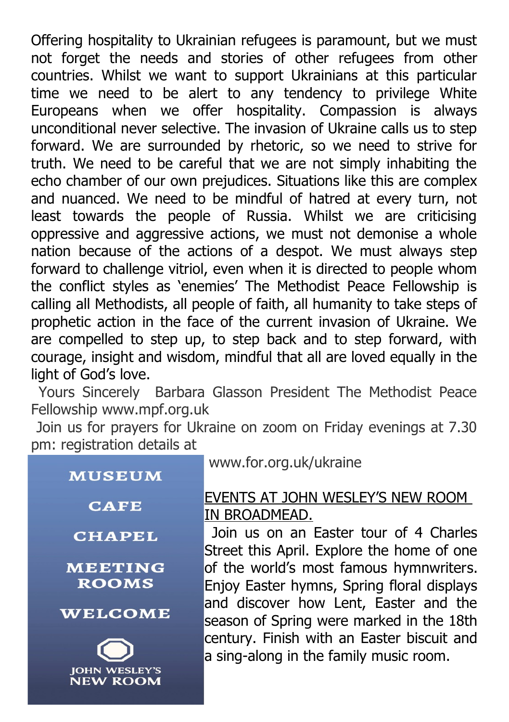Offering hospitality to Ukrainian refugees is paramount, but we must not forget the needs and stories of other refugees from other countries. Whilst we want to support Ukrainians at this particular time we need to be alert to any tendency to privilege White Europeans when we offer hospitality. Compassion is always unconditional never selective. The invasion of Ukraine calls us to step forward. We are surrounded by rhetoric, so we need to strive for truth. We need to be careful that we are not simply inhabiting the echo chamber of our own prejudices. Situations like this are complex and nuanced. We need to be mindful of hatred at every turn, not least towards the people of Russia. Whilst we are criticising oppressive and aggressive actions, we must not demonise a whole nation because of the actions of a despot. We must always step forward to challenge vitriol, even when it is directed to people whom the conflict styles as 'enemies' The Methodist Peace Fellowship is calling all Methodists, all people of faith, all humanity to take steps of prophetic action in the face of the current invasion of Ukraine. We are compelled to step up, to step back and to step forward, with courage, insight and wisdom, mindful that all are loved equally in the light of God's love.

 Yours Sincerely Barbara Glasson President The Methodist Peace Fellowship www.mpf.org.uk

 Join us for prayers for Ukraine on zoom on Friday evenings at 7.30 pm: registration details at

| <b>MUSEUM</b>                           |
|-----------------------------------------|
| <b>CAFE</b>                             |
| <b>CHAPEL</b>                           |
| <b>MEETING</b><br><b>ROOMS</b>          |
| <b>WELCOME</b>                          |
| <b>JOHN WESLEY'S</b><br><b>NEW ROOM</b> |

www.for.org.uk/ukraine

#### EVENTS AT JOHN WESLEY'S NEW ROOM IN BROADMEAD.

 Join us on an Easter tour of 4 Charles Street this April. Explore the home of one of the world's most famous hymnwriters. Enjoy Easter hymns, Spring floral displays and discover how Lent, Easter and the season of Spring were marked in the 18th century. Finish with an Easter biscuit and a sing-along in the family music room.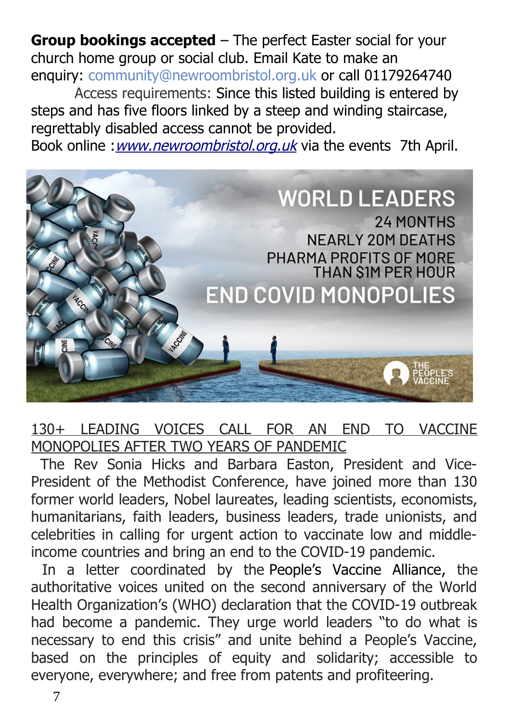**Group bookings accepted** – The perfect Easter social for your church home group or social club. Email Kate to make an enquiry: [community@newroombristol.org.uk](mailto:community@newroombristol.org.uk) or call 01179264740

Access requirements: Since this listed building is entered by steps and has five floors linked by a steep and winding staircase, regrettably disabled access cannot be provided.

Book online : [www.newroombristol.org.uk](http://www.newroombristol.org.uk/) via the events 7th April.



### 130+ LEADING VOICES CALL FOR AN END TO VACCINE MONOPOLIES AFTER TWO YEARS OF PANDEMIC

 The Rev Sonia Hicks and Barbara Easton, President and Vice-President of the Methodist Conference, have joined more than 130 former world leaders, Nobel laureates, leading scientists, economists, humanitarians, faith leaders, business leaders, trade unionists, and celebrities in calling for urgent action to vaccinate low and middleincome countries and bring an end to the COVID-19 pandemic.

 In a letter coordinated by the People's Vaccine Alliance, the authoritative voices united on the second anniversary of the World Health Organization's (WHO) declaration that the COVID-19 outbreak had become a pandemic. They urge world leaders "to do what is necessary to end this crisis" and unite behind a People's Vaccine, based on the principles of equity and solidarity; accessible to everyone, everywhere; and free from patents and profiteering.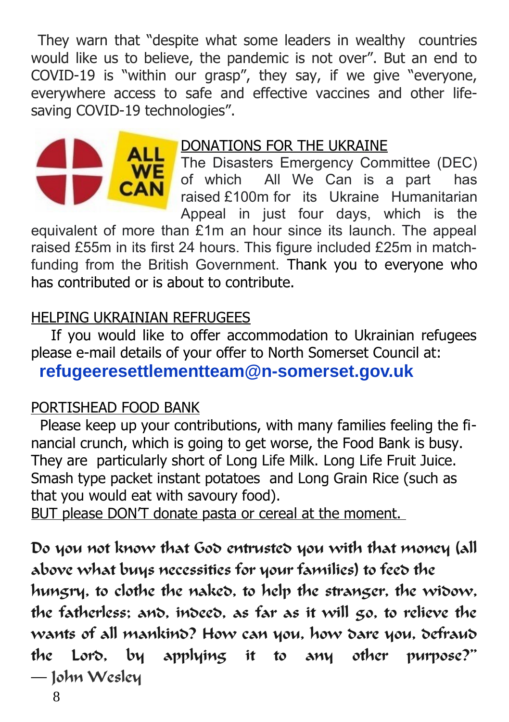They warn that "despite what some leaders in wealthy countries would like us to believe, the pandemic is not over". But an end to COVID-19 is "within our grasp", they say, if we give "everyone, everywhere access to safe and effective vaccines and other lifesaving COVID-19 technologies".



#### DONATIONS FOR THE UKRAINE

The Disasters Emergency Committee (DEC)<br>of which All We Can is a part has All We Can is a part has raised £100m for its Ukraine Humanitarian Appeal in just four days, which is the

equivalent of more than £1m an hour since its launch. The appeal raised £55m in its first 24 hours. This figure included £25m in matchfunding from the British Government. Thank you to everyone who has contributed or is about to contribute.

#### HELPING UKRAINIAN REFRUGEES

 If you would like to offer accommodation to Ukrainian refugees please e-mail details of your offer to North Somerset Council at:

**refugeeresettlementteam@n-somerset.gov.uk**

#### PORTISHEAD FOOD BANK

 Please keep up your contributions, with many families feeling the financial crunch, which is going to get worse, the Food Bank is busy. They are particularly short of Long Life Milk. Long Life Fruit Juice. Smash type packet instant potatoes and Long Grain Rice (such as that you would eat with savoury food).

BUT please DON'T donate pasta or cereal at the moment.

Do you not know that God entrusted you with that money (all above what buys necessities for your families) to feed the

hungry, to clothe the naked, to help the stranger, the widow, the fatherless; and, indeed, as far as it will go, to relieve the wants of all mankind? How can you, how dare you, defraud the Lord, by applying it to any other purpose?" ― John Wesley

8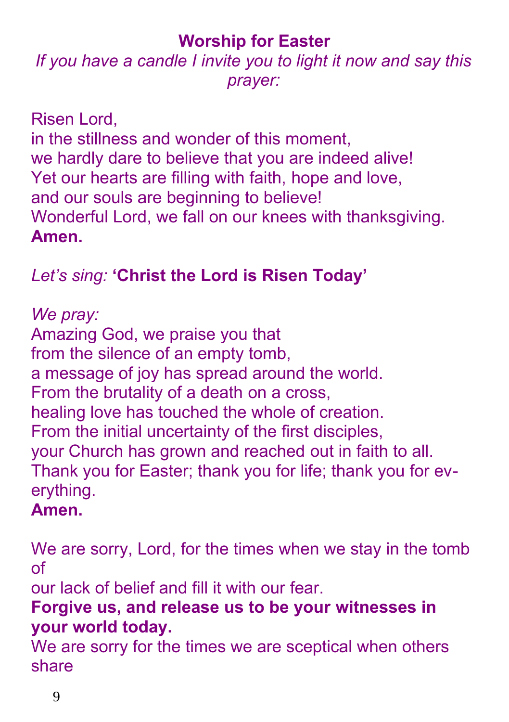# **Worship for Easter**

# *If you have a candle I invite you to light it now and say this prayer:*

Risen Lord, in the stillness and wonder of this moment, we hardly dare to believe that you are indeed alive! Yet our hearts are filling with faith, hope and love, and our souls are beginning to believe! Wonderful Lord, we fall on our knees with thanksgiving. **Amen.**

# *Let's sing:* **'Christ the Lord is Risen Today'**

*We pray:* Amazing God, we praise you that from the silence of an empty tomb, a message of joy has spread around the world. From the brutality of a death on a cross, healing love has touched the whole of creation. From the initial uncertainty of the first disciples, your Church has grown and reached out in faith to all. Thank you for Easter; thank you for life; thank you for everything.

# **Amen.**

We are sorry, Lord, for the times when we stay in the tomb of

our lack of belief and fill it with our fear.

# **Forgive us, and release us to be your witnesses in your world today.**

We are sorry for the times we are sceptical when others share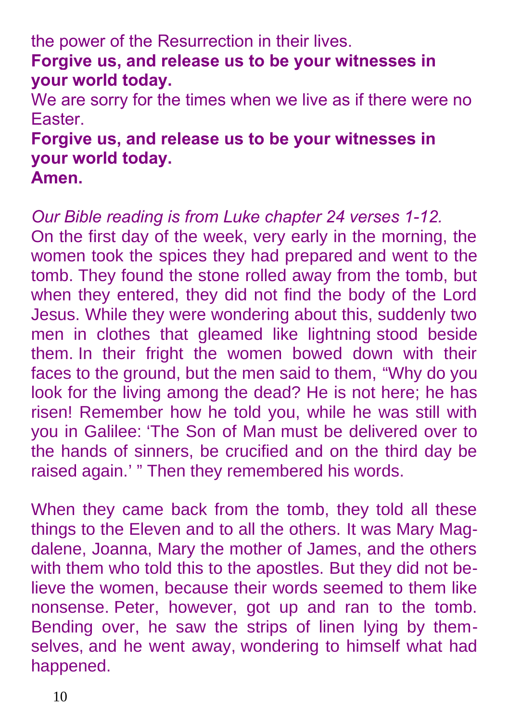the power of the Resurrection in their lives. **Forgive us, and release us to be your witnesses in your world today.**

We are sorry for the times when we live as if there were no Easter.

# **Forgive us, and release us to be your witnesses in your world today.**

**Amen.**

*Our Bible reading is from Luke chapter 24 verses 1-12.* On the first day of the week, very early in the morning, the women took the spices they had prepared and went to the tomb. They found the stone rolled away from the tomb, but when they entered, they did not find the body of the Lord Jesus. While they were wondering about this, suddenly two men in clothes that gleamed like lightning stood beside them. In their fright the women bowed down with their faces to the ground, but the men said to them, "Why do you look for the living among the dead? He is not here; he has risen! Remember how he told you, while he was still with you in Galilee: 'The Son of Man must be delivered over to the hands of sinners, be crucified and on the third day be raised again.' " Then they remembered his words.

When they came back from the tomb, they told all these things to the Eleven and to all the others. It was Mary Magdalene, Joanna, Mary the mother of James, and the others with them who told this to the apostles. But they did not believe the women, because their words seemed to them like nonsense. Peter, however, got up and ran to the tomb. Bending over, he saw the strips of linen lying by themselves, and he went away, wondering to himself what had happened.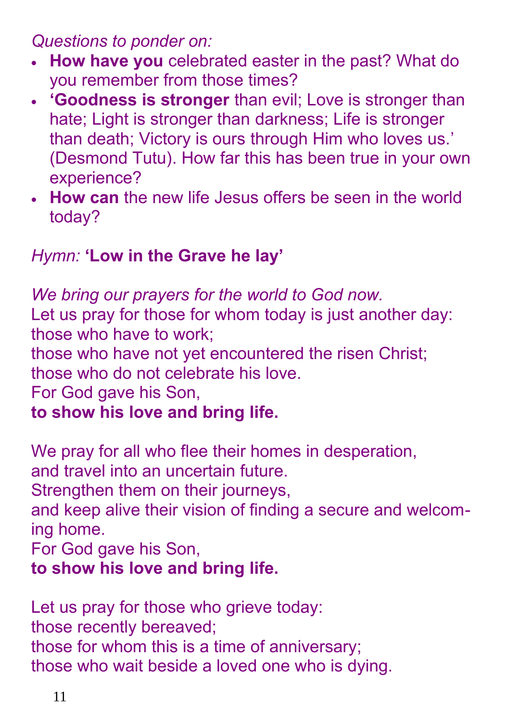*Questions to ponder on:*

- **How have you** celebrated easter in the past? What do you remember from those times?
- **'Goodness is stronger** than evil; Love is stronger than hate; Light is stronger than darkness; Life is stronger than death; Victory is ours through Him who loves us.' (Desmond Tutu). How far this has been true in your own experience?
- **How can** the new life Jesus offers be seen in the world today?

# *Hymn:* **'Low in the Grave he lay'**

*We bring our prayers for the world to God now.* Let us pray for those for whom today is just another day: those who have to work; those who have not yet encountered the risen Christ; those who do not celebrate his love. For God gave his Son, **to show his love and bring life.**

We pray for all who flee their homes in desperation, and travel into an uncertain future.

Strengthen them on their journeys,

and keep alive their vision of finding a secure and welcoming home.

For God gave his Son,

# **to show his love and bring life.**

Let us pray for those who grieve today: those recently bereaved; those for whom this is a time of anniversary; those who wait beside a loved one who is dying.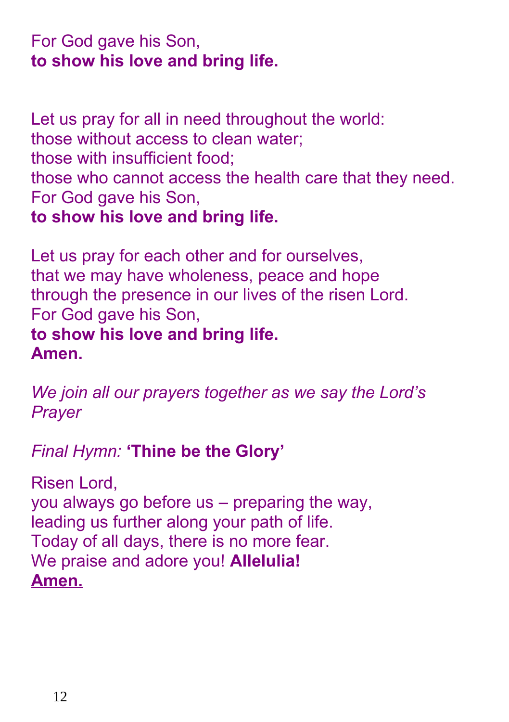# For God gave his Son, **to show his love and bring life.**

Let us pray for all in need throughout the world: those without access to clean water; those with insufficient food; those who cannot access the health care that they need. For God gave his Son, **to show his love and bring life.**

Let us pray for each other and for ourselves, that we may have wholeness, peace and hope through the presence in our lives of the risen Lord. For God gave his Son, **to show his love and bring life. Amen.**

*We join all our prayers together as we say the Lord's Prayer*

*Final Hymn:* **'Thine be the Glory'**

Risen Lord, you always go before us – preparing the way, leading us further along your path of life. Today of all days, there is no more fear. We praise and adore you! **Allelulia! Amen.**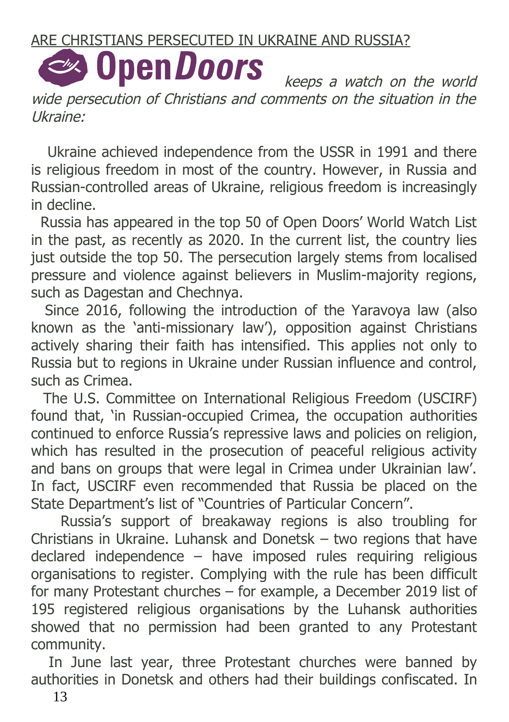#### ARE CHRISTIANS PERSECUTED IN UKRAINE AND RUSSIA?

# **Solution Doors**

 keeps a watch on the world wide persecution of Christians and comments on the situation in the Ukraine:

 Ukraine achieved independence from the USSR in 1991 and there is religious freedom in most of the country. However, in Russia and Russian-controlled areas of Ukraine, religious freedom is increasingly in decline.

 Russia has appeared in the top 50 of Open Doors' World Watch List in the past, as recently as 2020. In the current list, the country lies just outside the top 50. The persecution largely stems from localised pressure and violence against believers in Muslim-majority regions, such as Dagestan and Chechnya.

 Since 2016, following the introduction of the Yaravoya law (also known as the 'anti-missionary law'), opposition against Christians actively sharing their faith has intensified. This applies not only to Russia but to regions in Ukraine under Russian influence and control, such as Crimea.

 The U.S. Committee on International Religious Freedom (USCIRF) found that, 'in Russian-occupied Crimea, the occupation authorities continued to enforce Russia's repressive laws and policies on religion, which has resulted in the prosecution of peaceful religious activity and bans on groups that were legal in Crimea under Ukrainian law'. In fact, USCIRF even recommended that Russia be placed on the State Department's list of "Countries of Particular Concern".

 Russia's support of breakaway regions is also troubling for Christians in Ukraine. Luhansk and Donetsk – two regions that have declared independence – have imposed rules requiring religious organisations to register. Complying with the rule has been difficult for many Protestant churches – for example, a December 2019 list of 195 registered religious organisations by the Luhansk authorities showed that no permission had been granted to any Protestant community.

 In June last year, three Protestant churches were banned by authorities in Donetsk and others had their buildings confiscated. In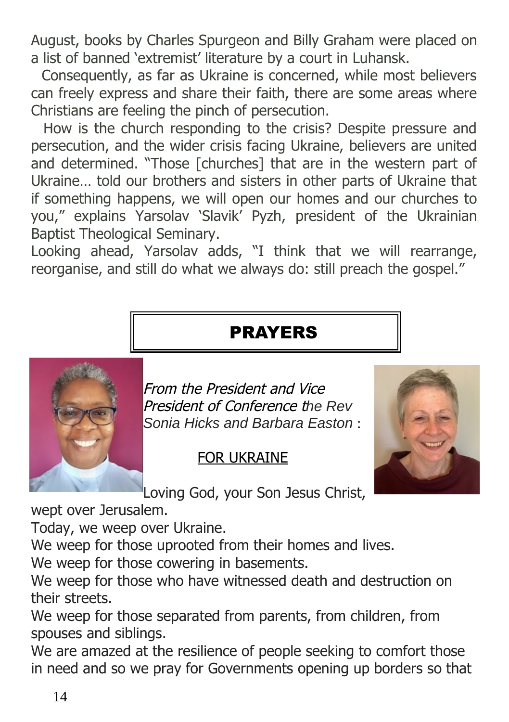August, books by Charles Spurgeon and Billy Graham were placed on a list of banned 'extremist' literature by a court in Luhansk.

 Consequently, as far as Ukraine is concerned, while most believers can freely express and share their faith, there are some areas where Christians are feeling the pinch of persecution.

 How is the church responding to the crisis? Despite pressure and persecution, and the wider crisis facing Ukraine, believers are united and determined. "Those [churches] that are in the western part of Ukraine… told our brothers and sisters in other parts of Ukraine that if something happens, we will open our homes and our churches to you," explains Yarsolav 'Slavik' Pyzh, president of the Ukrainian Baptist Theological Seminary.

Looking ahead, Yarsolav adds, "I think that we will rearrange, reorganise, and still do what we always do: still preach the gospel."

# PRAYERS



From the President and Vice President of Conference t*he Rev Sonia Hicks and Barbara Easton* :

### FOR UKRAINE



Loving God, your Son Jesus Christ,

wept over Jerusalem.

Today, we weep over Ukraine.

We weep for those uprooted from their homes and lives.

We weep for those cowering in basements.

We weep for those who have witnessed death and destruction on their streets.

We weep for those separated from parents, from children, from spouses and siblings.

We are amazed at the resilience of people seeking to comfort those in need and so we pray for Governments opening up borders so that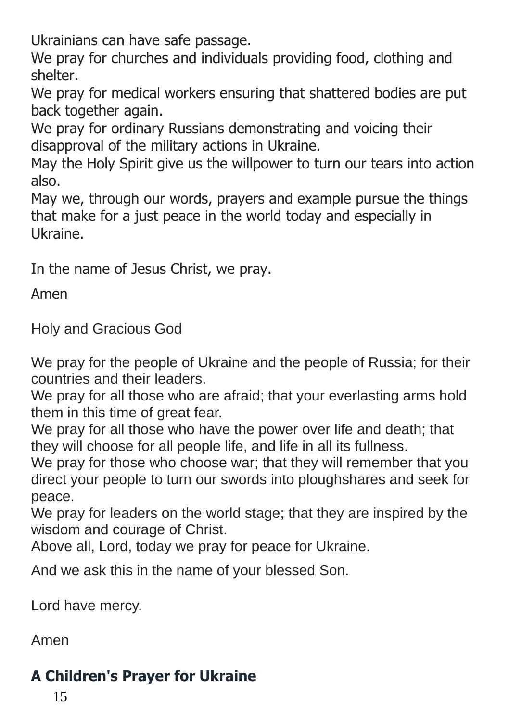Ukrainians can have safe passage.

We pray for churches and individuals providing food, clothing and shelter.

We pray for medical workers ensuring that shattered bodies are put back together again.

We pray for ordinary Russians demonstrating and voicing their disapproval of the military actions in Ukraine.

May the Holy Spirit give us the willpower to turn our tears into action also.

May we, through our words, prayers and example pursue the things that make for a just peace in the world today and especially in Ukraine.

In the name of Jesus Christ, we pray.

Amen

Holy and Gracious God

We pray for the people of Ukraine and the people of Russia; for their countries and their leaders.

We pray for all those who are afraid; that your everlasting arms hold them in this time of great fear.

We pray for all those who have the power over life and death; that they will choose for all people life, and life in all its fullness.

We pray for those who choose war; that they will remember that you direct your people to turn our swords into ploughshares and seek for peace.

We pray for leaders on the world stage; that they are inspired by the wisdom and courage of Christ.

Above all, Lord, today we pray for peace for Ukraine.

And we ask this in the name of your blessed Son.

Lord have mercy.

Amen

# **A Children's Prayer for Ukraine**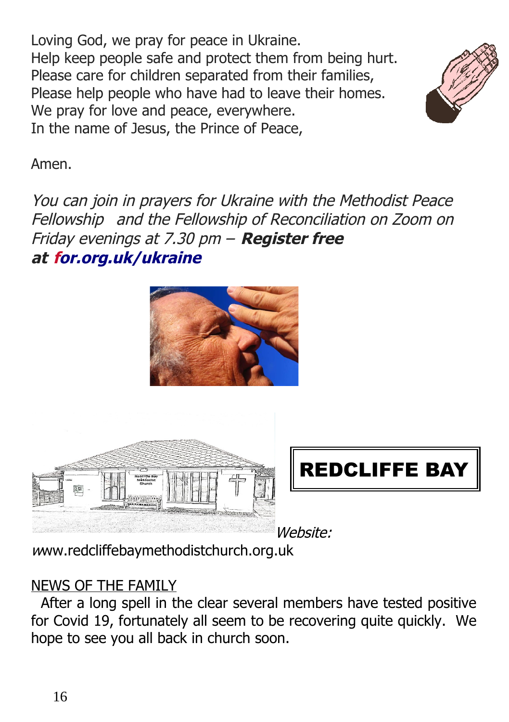Loving God, we pray for peace in Ukraine. Help keep people safe and protect them from being hurt. Please care for children separated from their families, Please help people who have had to leave their homes. We pray for love and peace, everywhere. In the name of Jesus, the Prince of Peace,



Amen.

You can join in prayers for Ukraine with the Methodist Peace Fellowship and the Fellowship of Reconciliation on Zoom on Friday evenings at 7.30 pm – **Register free at [for.org.uk/ukraine](http://for.org.uk/ukraine/)**







Website:

[w](http://www.redcliffebaymethodistchurch.org.uk/)[ww.redcliffebaymethodistchurch.org.uk](http://www.redcliffebaymethodistchurch.org.uk/)

# NEWS OF THE FAMILY

 After a long spell in the clear several members have tested positive for Covid 19, fortunately all seem to be recovering quite quickly. We hope to see you all back in church soon.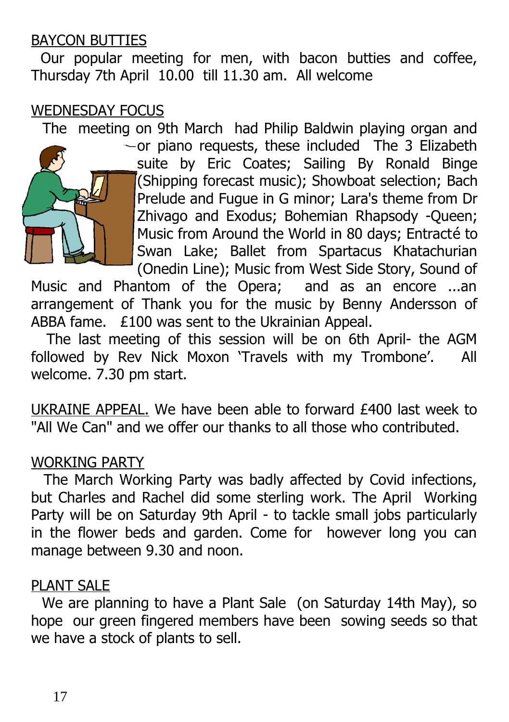#### BAYCON BUTTIES

 Our popular meeting for men, with bacon butties and coffee, Thursday 7th April 10.00 till 11.30 am. All welcome

#### WEDNESDAY FOCUS

The meeting on 9th March had Philip Baldwin playing organ and



or piano requests, these included The 3 Elizabeth suite by Eric Coates; Sailing By Ronald Binge (Shipping forecast music); Showboat selection; Bach Prelude and Fugue in G minor; Lara's theme from Dr Zhivago and Exodus; Bohemian Rhapsody -Queen; Music from Around the World in 80 days; Entracté to Swan Lake; Ballet from Spartacus Khatachurian (Onedin Line); Music from West Side Story, Sound of

Music and Phantom of the Opera; and as an encore ...an arrangement of Thank you for the music by Benny Andersson of ABBA fame. £100 was sent to the Ukrainian Appeal.

 The last meeting of this session will be on 6th April- the AGM followed by Rev Nick Moxon 'Travels with my Trombone'. All welcome. 7.30 pm start.

UKRAINE APPEAL. We have been able to forward £400 last week to "All We Can" and we offer our thanks to all those who contributed.

#### WORKING PARTY

 The March Working Party was badly affected by Covid infections, but Charles and Rachel did some sterling work. The April Working Party will be on Saturday 9th April - to tackle small jobs particularly in the flower beds and garden. Come for however long you can manage between 9.30 and noon.

#### PLANT SALE

 We are planning to have a Plant Sale (on Saturday 14th May), so hope our green fingered members have been sowing seeds so that we have a stock of plants to sell.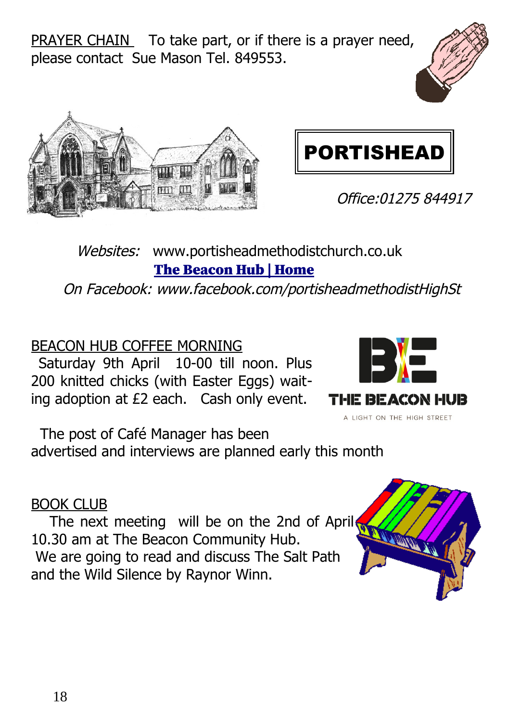PRAYER CHAIN To take part, or if there is a prayer need, please contact Sue Mason Tel. 849553.







Office:01275 844917

### Websites: www.portisheadmethodistchurch.co.uk [The Beacon Hub | Home](https://www.thebeaconhub.co.uk/)

On Facebook: www.facebook.com/portisheadmethodistHighSt

### BEACON HUB COFFEE MORNING

Saturday 9th April 10-00 till noon. Plus 200 knitted chicks (with Easter Eggs) waiting adoption at £2 each. Cash only event.



 The post of Café Manager has been advertised and interviews are planned early this month

#### BOOK CLUB

The next meeting will be on the 2nd of April 10.30 am at The Beacon Community Hub. We are going to read and discuss The Salt Path and the Wild Silence by Raynor Winn.

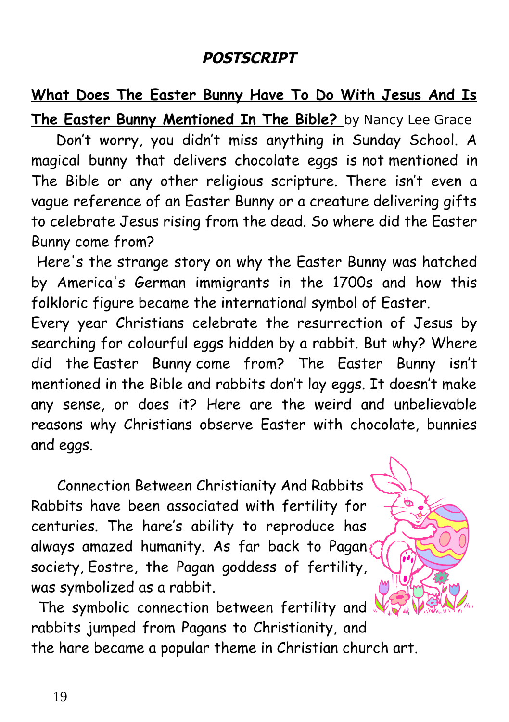#### **POSTSCRIPT**

## **What Does The Easter Bunny Have To Do With Jesus And Is**

**The Easter Bunny Mentioned In The Bible?** by Nancy Lee Grace Don't worry, you didn't miss anything in Sunday School. A magical bunny that delivers chocolate eggs is not mentioned in The Bible or any other religious scripture. There isn't even a vague reference of an Easter Bunny or a creature delivering gifts to celebrate Jesus rising from the dead. So where did the Easter Bunny come from?

 Here's the strange story on why the Easter Bunny was hatched by America's German immigrants in the 1700s and how this folkloric figure became the international symbol of Easter.

Every year Christians celebrate the resurrection of Jesus by searching for colourful eggs hidden by a rabbit. But why? Where did the Easter Bunny come from? The Easter Bunny isn't mentioned in the Bible and rabbits don't lay eggs. It doesn't make any sense, or does it? Here are the weird and unbelievable reasons why Christians observe Easter with chocolate, bunnies and eggs.

 Connection Between Christianity And Rabbits Rabbits have been associated with fertility for centuries. The hare's ability to reproduce has always amazed humanity. As far back to Pagan society, Eostre, the Pagan goddess of fertility, was symbolized as a rabbit.

The symbolic connection between fertility and rabbits jumped from Pagans to Christianity, and the hare became a popular theme in Christian church art.